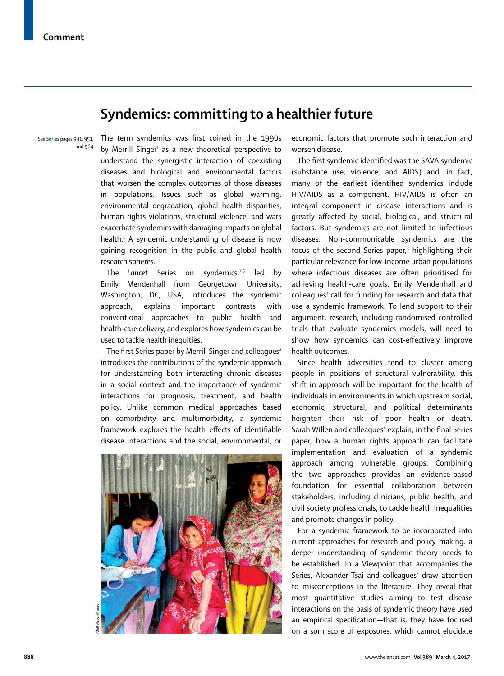## **Syndemics: committing to a healthier future**

See **Series** pages 941, 951, and 964 The term syndemics was first coined in the 1990s by Merrill Singer<sup>1</sup> as a new theoretical perspective to understand the synergistic interaction of coexisting diseases and biological and environmental factors that worsen the complex outcomes of those diseases in populations. Issues such as global warming, environmental degradation, global health disparities, human rights violations, structural violence, and wars exacerbate syndemics with damaging impacts on global health.<sup>1</sup> A syndemic understanding of disease is now gaining recognition in the public and global health research spheres.

The Lancet Series on syndemics,<sup>1-5</sup> led by Emily Mendenhall from Georgetown University, Washington, DC, USA, introduces the syndemic approach, explains important contrasts with conventional approaches to public health and health-care delivery, and explores how syndemics can be used to tackle health inequities.

The first Series paper by Merrill Singer and colleagues<sup>2</sup> introduces the contributions of the syndemic approach for understanding both interacting chronic diseases in a social context and the importance of syndemic interactions for prognosis, treatment, and health policy. Unlike common medical approaches based on comorbidity and multimorbidity, a syndemic framework explores the health effects of identifiable disease interactions and the social, environmental, or



economic factors that promote such interaction and worsen disease.

The first syndemic identified was the SAVA syndemic (substance use, violence, and AIDS) and, in fact, many of the earliest identified syndemics include HIV/AIDS as a component. HIV/AIDS is often an integral component in disease interactions and is greatly affected by social, biological, and structural factors. But syndemics are not limited to infectious diseases. Non-communicable syndemics are the focus of the second Series paper,<sup>3</sup> highlighting their particular relevance for low-income urban populations where infectious diseases are often prioritised for achieving health-care goals. Emily Mendenhall and colleagues<sup>3</sup> call for funding for research and data that use a syndemic framework. To lend support to their argument, research, including randomised controlled trials that evaluate syndemics models, will need to show how syndemics can cost-effectively improve health outcomes.

Since health adversities tend to cluster among people in positions of structural vulnerability, this shift in approach will be important for the health of individuals in environments in which upstream social, economic, structural, and political determinants heighten their risk of poor health or death. Sarah Willen and colleagues<sup>4</sup> explain, in the final Series paper, how a human rights approach can facilitate implementation and evaluation of a syndemic approach among vulnerable groups. Combining the two approaches provides an evidence-based foundation for essential collaboration between stakeholders, including clinicians, public health, and civil society professionals, to tackle health inequalities and promote changes in policy.

For a syndemic framework to be incorporated into current approaches for research and policy making, a deeper understanding of syndemic theory needs to be established. In a Viewpoint that accompanies the Series, Alexander Tsai and colleagues<sup>5</sup> draw attention to misconceptions in the literature. They reveal that most quantitative studies aiming to test disease interactions on the basis of syndemic theory have used an empirical specification—that is, they have focused on a sum score of exposures, which cannot elucidate